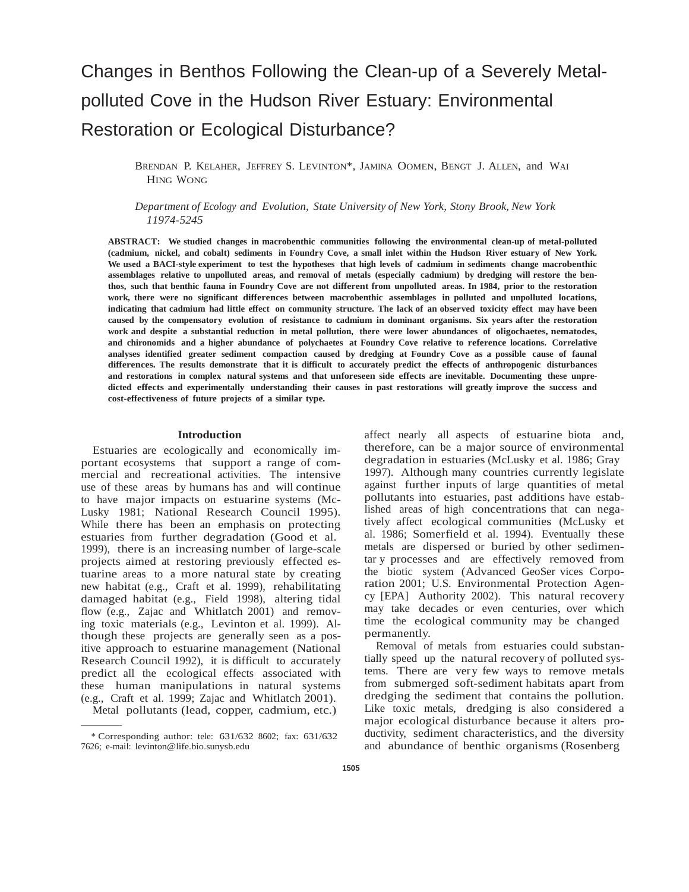# Changes in Benthos Following the Clean-up of a Severely Metalpolluted Cove in the Hudson River Estuary: Environmental Restoration or Ecological Disturbance?

BRENDAN P. KELAHER, JEFFREY S. LEVINTON\*, JAMINA OOMEN, BENGT J. ALLEN, and WAI HING WONG

*Department of Ecology and Evolution, State University of New York, Stony Brook, New York 11974-5245*

**ABSTRACT: We studied changes in macrobenthic communities following the environmental clean-up of metal-polluted (cadmium, nickel, and cobalt) sediments in Foundry Cove, a small inlet within the Hudson River estuary of New York. We used a BACI-style experiment to test the hypotheses that high levels of cadmium in sediments change macrobenthic assemblages relative to unpolluted areas, and removal of metals (especially cadmium) by dredging will restore the ben**thos, such that benthic fauna in Foundry Cove are not different from unpolluted areas. In 1984, prior to the restoration **work, there were no significant differences between macrobenthic assemblages in polluted and unpolluted locations,**  indicating that cadmium had little effect on community structure. The lack of an observed toxicity effect may have been **caused by the compensatory evolution of resistance to cadmium in dominant organisms. Six years after the restoration work and despite a substantial reduction in metal pollution, there were lower abundances of oligochaetes, nematodes, and chironomids and a higher abundance of polychaetes at Foundry Cove relative to reference locations. Correlative analyses identified greater sediment compaction caused by dredging at Foundry Cove as a possible cause of faunal differences. The results demonstrate that it is difficult to accurately predict the effects of anthropogenic disturbances and restorations in complex natural systems and that unforeseen side effects are inevitable. Documenting these unpredicted effects and experimentally understanding their causes in past restorations will greatly improve the success and cost-effectiveness of future projects of a similar type.**

#### **Introduction**

Estuaries are ecologically and economically important ecosystems that support a range of commercial and recreational activities. The intensive use of these areas by humans has and will continue to have major impacts on estuarine systems (Mc-Lusky 1981; National Research Council 1995). While there has been an emphasis on protecting estuaries from further degradation (Good et al. 1999), there is an increasing number of large-scale projects aimed at restoring previously effected estuarine areas to a more natural state by creating new habitat (e.g., Craft et al. 1999), rehabilitating damaged habitat (e.g., Field 1998), altering tidal flow (e.g., Zajac and Whitlatch 2001) and removing toxic materials (e.g., Levinton et al. 1999). Although these projects are generally seen as a positive approach to estuarine management (National Research Council 1992), it is difficult to accurately predict all the ecological effects associated with these human manipulations in natural systems (e.g., Craft et al. 1999; Zajac and Whitlatch 2001).

Metal pollutants (lead, copper, cadmium, etc.)

affect nearly all aspects of estuarine biota and, therefore, can be a major source of environmental degradation in estuaries (McLusky et al. 1986; Gray 1997). Although many countries currently legislate against further inputs of large quantities of metal pollutants into estuaries, past additions have established areas of high concentrations that can negatively affect ecological communities (McLusky et al. 1986; Somerfield et al. 1994). Eventually these metals are dispersed or buried by other sedimentar y processes and are effectively removed from the biotic system (Advanced GeoSer vices Corporation 2001; U.S. Environmental Protection Agency [EPA] Authority 2002). This natural recovery may take decades or even centuries, over which time the ecological community may be changed permanently.

Removal of metals from estuaries could substantially speed up the natural recovery of polluted systems. There are very few ways to remove metals from submerged soft-sediment habitats apart from dredging the sediment that contains the pollution. Like toxic metals, dredging is also considered a major ecological disturbance because it alters productivity, sediment characteristics, and the diversity and abundance of benthic organisms (Rosenberg

<sup>\*</sup> Corresponding author: tele: 631/632 8602; fax: 631/632 7626; e-mail: [levinton@life.bio.sunysb.edu](mailto:levinton@life.bio.sunysb.edu)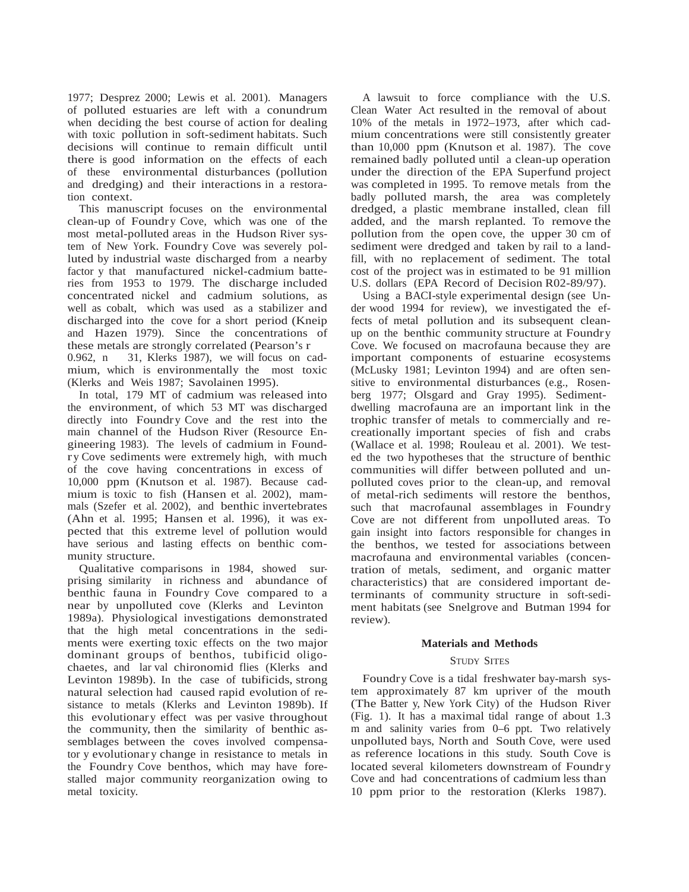1977; Desprez 2000; Lewis et al. 2001). Managers of polluted estuaries are left with a conundrum when deciding the best course of action for dealing with toxic pollution in soft-sediment habitats. Such decisions will continue to remain difficult until there is good information on the effects of each of these environmental disturbances (pollution and dredging) and their interactions in a restoration context.

This manuscript focuses on the environmental clean-up of Foundry Cove, which was one of the most metal-polluted areas in the Hudson River system of New York. Foundry Cove was severely polluted by industrial waste discharged from a nearby factor y that manufactured nickel-cadmium batteries from 1953 to 1979. The discharge included concentrated nickel and cadmium solutions, as well as cobalt, which was used as a stabilizer and discharged into the cove for a short period (Kneip and Hazen 1979). Since the concentrations of these metals are strongly correlated (Pearson's  $r$  0.962, n 31, Klerks 1987), we will focus on c 31, Klerks 1987), we will focus on cadmium, which is environmentally the most toxic (Klerks and Weis 1987; Savolainen 1995).

In total, 179 MT of cadmium was released into the environment, of which 53 MT was discharged directly into Foundry Cove and the rest into the main channel of the Hudson River (Resource Engineering 1983). The levels of cadmium in Foundry Cove sediments were extremely high, with much of the cove having concentrations in excess of 10,000 ppm (Knutson et al. 1987). Because cadmium is toxic to fish (Hansen et al. 2002), mammals (Szefer et al. 2002), and benthic invertebrates (Ahn et al. 1995; Hansen et al. 1996), it was expected that this extreme level of pollution would have serious and lasting effects on benthic community structure.

Qualitative comparisons in 1984, showed surprising similarity in richness and abundance of benthic fauna in Foundry Cove compared to a near by unpolluted cove (Klerks and Levinton 1989a). Physiological investigations demonstrated that the high metal concentrations in the sediments were exerting toxic effects on the two major dominant groups of benthos, tubificid oligochaetes, and lar val chironomid flies (Klerks and Levinton 1989b). In the case of tubificids, strong natural selection had caused rapid evolution of resistance to metals (Klerks and Levinton 1989b). If this evolutionary effect was per vasive throughout the community, then the similarity of benthic assemblages between the coves involved compensator y evolutionar y change in resistance to metals in the Foundry Cove benthos, which may have forestalled major community reorganization owing to metal toxicity.

A lawsuit to force compliance with the U.S. Clean Water Act resulted in the removal of about 10% of the metals in 1972–1973, after which cadmium concentrations were still consistently greater than 10,000 ppm (Knutson et al. 1987). The cove remained badly polluted until a clean-up operation under the direction of the EPA Superfund project was completed in 1995. To remove metals from the badly polluted marsh, the area was completely dredged, a plastic membrane installed, clean fill added, and the marsh replanted. To remove the pollution from the open cove, the upper 30 cm of sediment were dredged and taken by rail to a landfill, with no replacement of sediment. The total cost of the project was in estimated to be 91 million U.S. dollars (EPA Record of Decision R02-89/97).

Using a BACI-style experimental design (see Under wood 1994 for review), we investigated the effects of metal pollution and its subsequent cleanup on the benthic community structure at Foundry Cove. We focused on macrofauna because they are important components of estuarine ecosystems (McLusky 1981; Levinton 1994) and are often sensitive to environmental disturbances (e.g., Rosenberg 1977; Olsgard and Gray 1995). Sedimentdwelling macrofauna are an important link in the trophic transfer of metals to commercially and recreationally important species of fish and crabs (Wallace et al. 1998; Rouleau et al. 2001). We tested the two hypotheses that the structure of benthic communities will differ between polluted and unpolluted coves prior to the clean-up, and removal of metal-rich sediments will restore the benthos, such that macrofaunal assemblages in Foundry Cove are not different from unpolluted areas. To gain insight into factors responsible for changes in the benthos, we tested for associations between macrofauna and environmental variables (concentration of metals, sediment, and organic matter characteristics) that are considered important determinants of community structure in soft-sediment habitats (see Snelgrove and Butman 1994 for review).

## **Materials and Methods**

## STUDY SITES

Foundry Cove is a tidal freshwater bay-marsh system approximately 87 km upriver of the mouth (The Batter y, New York City) of the Hudson River (Fig. 1). It has a maximal tidal range of about 1.3 m and salinity varies from 0–6 ppt. Two relatively unpolluted bays, North and South Cove, were used as reference locations in this study. South Cove is located several kilometers downstream of Foundr y Cove and had concentrations of cadmium less than 10 ppm prior to the restoration (Klerks 1987).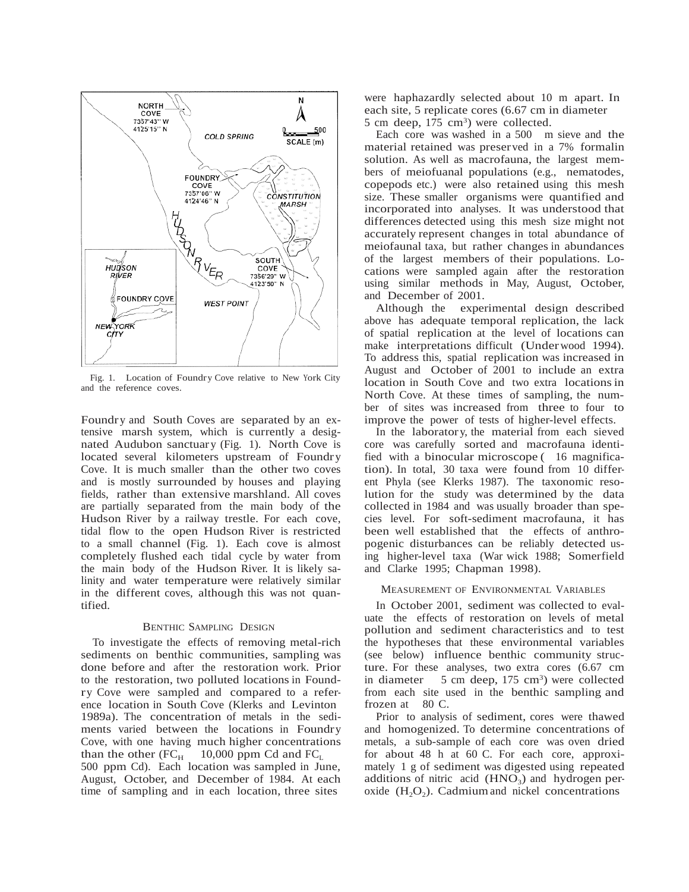

Fig. 1. Location of Foundry Cove relative to New York City and the reference coves.

Foundry and South Coves are separated by an extensive marsh system, which is currently a designated Audubon sanctuary (Fig. 1). North Cove is located several kilometers upstream of Foundry Cove. It is much smaller than the other two coves and is mostly surrounded by houses and playing fields, rather than extensive marshland. All coves are partially separated from the main body of the Hudson River by a railway trestle. For each cove, tidal flow to the open Hudson River is restricted to a small channel (Fig. 1). Each cove is almost completely flushed each tidal cycle by water from the main body of the Hudson River. It is likely salinity and water temperature were relatively similar in the different coves, although this was not quantified.

## BENTHIC SAMPLING DESIGN

To investigate the effects of removing metal-rich sediments on benthic communities, sampling was done before and after the restoration work. Prior to the restoration, two polluted locations in Foundry Cove were sampled and compared to a reference location in South Cove (Klerks and Levinton 1989a). The concentration of metals in the sediments varied between the locations in Foundry Cove, with one having much higher concentrations than the other  $(FC_H \t 10,000 \text{ ppm} \text{ Cd and } FC_L$ 500 ppm Cd). Each location was sampled in June, August, October, and December of 1984. At each time of sampling and in each location, three sites

were haphazardly selected about 10 m apart. In each site, 5 replicate cores (6.67 cm in diameter 5 cm deep, 175 cm<sup>3</sup>) were collected.

Each core was washed in a 500 m sieve and the material retained was preserved in a 7% formalin solution. As well as macrofauna, the largest members of meiofuanal populations (e.g., nematodes, copepods etc.) were also retained using this mesh size. These smaller organisms were quantified and incorporated into analyses. It was understood that differences detected using this mesh size might not accurately represent changes in total abundance of meiofaunal taxa, but rather changes in abundances of the largest members of their populations. Locations were sampled again after the restoration using similar methods in May, August, October, and December of 2001.

Although the experimental design described above has adequate temporal replication, the lack of spatial replication at the level of locations can make interpretations difficult (Underwood 1994). To address this, spatial replication was increased in August and October of 2001 to include an extra location in South Cove and two extra locations in North Cove. At these times of sampling, the number of sites was increased from three to four to improve the power of tests of higher-level effects.

In the laboratory, the material from each sieved core was carefully sorted and macrofauna identified with a binocular microscope ( 16 magnification). In total, 30 taxa were found from 10 different Phyla (see Klerks 1987). The taxonomic resolution for the study was determined by the data collected in 1984 and was usually broader than species level. For soft-sediment macrofauna, it has been well established that the effects of anthropogenic disturbances can be reliably detected using higher-level taxa (War wick 1988; Somerfield and Clarke 1995; Chapman 1998).

## MEASUREMENT OF ENVIRONMENTAL VARIABLES

In October 2001, sediment was collected to evaluate the effects of restoration on levels of metal pollution and sediment characteristics and to test the hypotheses that these environmental variables (see below) influence benthic community structure. For these analyses, two extra cores (6.67 cm in diameter 5 cm deep, 175 cm<sup>3</sup>) were collected from each site used in the benthic sampling and frozen at 80 C.

Prior to analysis of sediment, cores were thawed and homogenized. To determine concentrations of metals, a sub-sample of each core was oven dried for about 48 h at 60 C. For each core, approximately 1 g of sediment was digested using repeated additions of nitric acid  $(HNO<sub>3</sub>)$  and hydrogen peroxide  $(H_2O_2)$ . Cadmium and nickel concentrations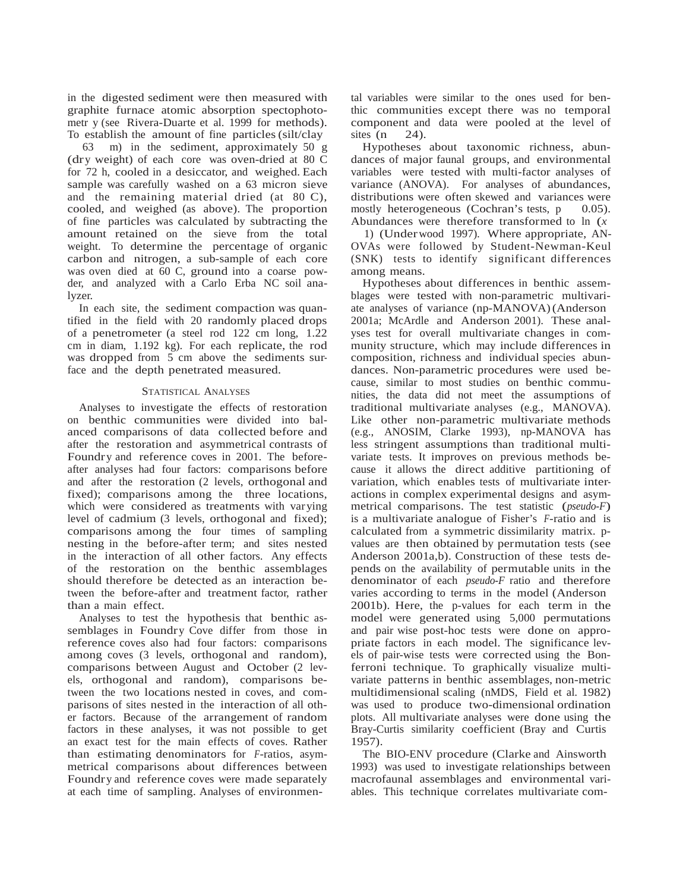in the digested sediment were then measured with graphite furnace atomic absorption spectophotometr y (see Rivera-Duarte et al. 1999 for methods). To establish the amount of fine particles(silt/clay

63 m) in the sediment, approximately 50 g (dry weight) of each core was oven-dried at 80 C for 72 h, cooled in a desiccator, and weighed. Each sample was carefully washed on a 63 micron sieve and the remaining material dried (at 80 C), cooled, and weighed (as above). The proportion of fine particles was calculated by subtracting the amount retained on the sieve from the total weight. To determine the percentage of organic carbon and nitrogen, a sub-sample of each core was oven died at 60 C, ground into a coarse powder, and analyzed with a Carlo Erba NC soil analyzer.

In each site, the sediment compaction was quantified in the field with 20 randomly placed drops of a penetrometer (a steel rod 122 cm long, 1.22 cm in diam, 1.192 kg). For each replicate, the rod was dropped from 5 cm above the sediments surface and the depth penetrated measured.

# STATISTICAL ANALYSES

Analyses to investigate the effects of restoration on benthic communities were divided into balanced comparisons of data collected before and after the restoration and asymmetrical contrasts of Foundry and reference coves in 2001. The beforeafter analyses had four factors: comparisons before and after the restoration (2 levels, orthogonal and fixed); comparisons among the three locations, which were considered as treatments with varying level of cadmium (3 levels, orthogonal and fixed); comparisons among the four times of sampling nesting in the before-after term; and sites nested in the interaction of all other factors. Any effects of the restoration on the benthic assemblages should therefore be detected as an interaction between the before-after and treatment factor, rather than a main effect.

Analyses to test the hypothesis that benthic assemblages in Foundry Cove differ from those in reference coves also had four factors: comparisons among coves (3 levels, orthogonal and random), comparisons between August and October (2 levels, orthogonal and random), comparisons between the two locations nested in coves, and comparisons of sites nested in the interaction of all other factors. Because of the arrangement of random factors in these analyses, it was not possible to get an exact test for the main effects of coves. Rather than estimating denominators for *F*-ratios, asymmetrical comparisons about differences between Foundry and reference coves were made separately at each time of sampling. Analyses of environmen-

tal variables were similar to the ones used for benthic communities except there was no temporal component and data were pooled at the level of sites (n 24).

Hypotheses about taxonomic richness, abundances of major faunal groups, and environmental variables were tested with multi-factor analyses of variance (ANOVA). For analyses of abundances, distributions were often skewed and variances were mostly heterogeneous (Cochran's tests, p 0.05). Abundances were therefore transformed to ln (*x*

1) (Underwood 1997). Where appropriate, AN-OVAs were followed by Student-Newman-Keul (SNK) tests to identify significant differences among means.

Hypotheses about differences in benthic assemblages were tested with non-parametric multivariate analyses of variance (np-MANOVA)(Anderson 2001a; McArdle and Anderson 2001). These analyses test for overall multivariate changes in community structure, which may include differences in composition, richness and individual species abundances. Non-parametric procedures were used because, similar to most studies on benthic communities, the data did not meet the assumptions of traditional multivariate analyses (e.g., MANOVA). Like other non-parametric multivariate methods (e.g., ANOSIM, Clarke 1993), np-MANOVA has less stringent assumptions than traditional multivariate tests. It improves on previous methods because it allows the direct additive partitioning of variation, which enables tests of multivariate interactions in complex experimental designs and asymmetrical comparisons. The test statistic (*pseudo-F*) is a multivariate analogue of Fisher's *F*-ratio and is calculated from a symmetric dissimilarity matrix. pvalues are then obtained by permutation tests (see Anderson 2001a,b). Construction of these tests depends on the availability of permutable units in the denominator of each *pseudo-F* ratio and therefore varies according to terms in the model (Anderson 2001b). Here, the p-values for each term in the model were generated using 5,000 permutations and pair wise post-hoc tests were done on appropriate factors in each model. The significance levels of pair-wise tests were corrected using the Bonferroni technique. To graphically visualize multivariate patterns in benthic assemblages, non-metric multidimensional scaling (nMDS, Field et al. 1982) was used to produce two-dimensional ordination plots. All multivariate analyses were done using the Bray-Curtis similarity coefficient (Bray and Curtis 1957).

The BIO-ENV procedure (Clarke and Ainsworth 1993) was used to investigate relationships between macrofaunal assemblages and environmental variables. This technique correlates multivariate com-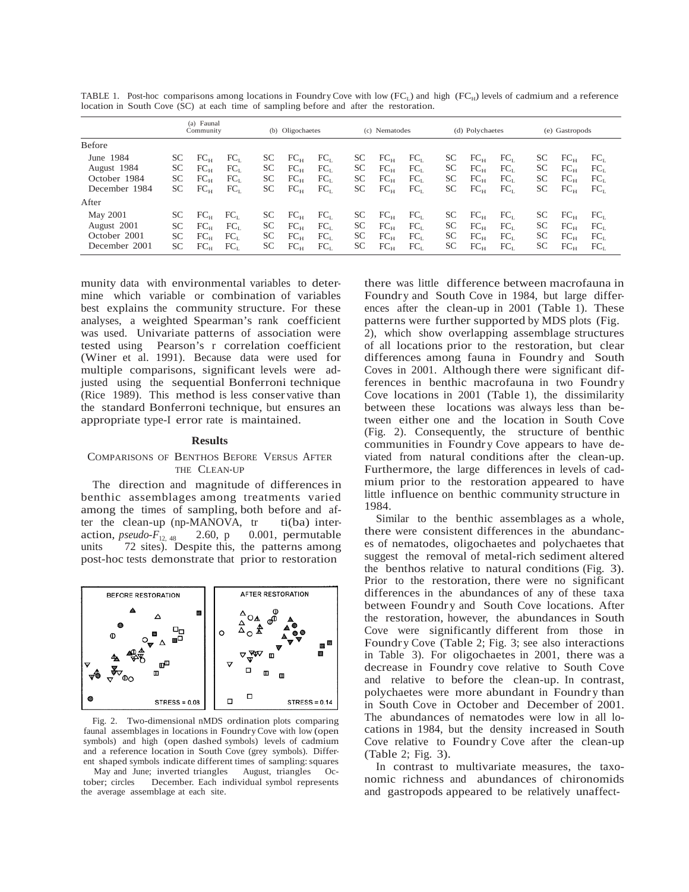|                                                           |                      | (a) Faunal<br>Community                                                   |                                                                          |                                    | (b) Oligochaetes                             |                                                                          |                      | (c) Nematodes                                |                                                                          |                             | (d) Polychaetes                              |                                                                          |                      | (e) Gastropods                               |                                      |
|-----------------------------------------------------------|----------------------|---------------------------------------------------------------------------|--------------------------------------------------------------------------|------------------------------------|----------------------------------------------|--------------------------------------------------------------------------|----------------------|----------------------------------------------|--------------------------------------------------------------------------|-----------------------------|----------------------------------------------|--------------------------------------------------------------------------|----------------------|----------------------------------------------|--------------------------------------|
| <b>Before</b>                                             |                      |                                                                           |                                                                          |                                    |                                              |                                                                          |                      |                                              |                                                                          |                             |                                              |                                                                          |                      |                                              |                                      |
| June 1984<br>August 1984<br>October 1984<br>December 1984 | SС<br>SС<br>SС<br>SС | $FC_{H}$<br>$FC_{H}$<br>$FC_{H}$<br>$FC_{H}$                              | FC.<br>FC <sub>r</sub><br>FC <sub>r</sub><br>FC <sub>1</sub>             | SC<br><b>SC</b><br><b>SC</b><br>SC | $FC_{H}$<br>$FC_{H}$<br>$FC_{H}$<br>$FC_{H}$ | FC <sub>r</sub><br>FC <sub>r</sub><br>FC <sub>1</sub><br>FC <sub>1</sub> | SС<br>SC<br>SC<br>SС | $FC_{H}$<br>$FC_{H}$<br>$FC_{H}$<br>$FC_{H}$ | FC <sub>r</sub><br>FC <sub>r</sub><br>FC <sub>1</sub><br>FC <sub>1</sub> | SС<br>SC<br>SC<br>SC        | $FC_{H}$<br>$FC_{H}$<br>$FC_{H}$<br>$FC_{H}$ | FC <sub>r</sub><br>FC <sub>r</sub><br>FC <sub>1</sub><br>FC <sub>1</sub> | SС<br>SC<br>SС<br>SС | $FC_{H}$<br>$FC_{H}$<br>$FC_{H}$<br>$FC_{H}$ | FC,<br>FC,<br>FC,<br>FC,             |
| After                                                     |                      |                                                                           |                                                                          |                                    |                                              |                                                                          |                      |                                              |                                                                          |                             |                                              |                                                                          |                      |                                              |                                      |
| May 2001<br>August 2001<br>October 2001<br>December 2001  | SС<br>SС<br>SС<br>SС | FC <sub>II</sub><br>FC <sub>H</sub><br>FC <sub>H</sub><br>FC <sub>H</sub> | FC <sub>r</sub><br>FC <sub>r</sub><br>FC <sub>r</sub><br>FC <sub>1</sub> | SС<br><b>SC</b><br><b>SC</b><br>SC | $FC_{H}$<br>$FC_{H}$<br>$FC_{H}$<br>$FC_{H}$ | FC <sub>r</sub><br>FC <sub>r</sub><br>FC <sub>1</sub><br>FC <sub>L</sub> | SС<br>SС<br>SC<br>SС | $FC_{H}$<br>$FC_{H}$<br>$FC_{H}$<br>$FC_{H}$ | FC <sub>r</sub><br>FC <sub>r</sub><br>FC <sub>r</sub><br>FC <sub>1</sub> | SC<br><b>SC</b><br>SC<br>SC | $FC_{H}$<br>$FC_{H}$<br>$FC_{H}$<br>$FC_{H}$ | FC <sub>r</sub><br>FC <sub>r</sub><br>FC <sub>1</sub><br>FC <sub>r</sub> | SС<br>SС<br>SС<br>SC | $FC_{H}$<br>$FC_{H}$<br>$FC_{H}$<br>$FC_{H}$ | FC <sub>r</sub><br>FC,<br>FC,<br>FC, |

TABLE 1. Post-hoc comparisons among locations in Foundry Cove with low  $(FC<sub>H</sub>)$  and high  $(FC<sub>H</sub>)$  levels of cadmium and a reference location in South Cove (SC) at each time of sampling before and after the restoration.

munity data with environmental variables to determine which variable or combination of variables best explains the community structure. For these analyses, a weighted Spearman's rank coefficient was used. Univariate patterns of association were tested using Pearson's r correlation coefficient (Winer et al. 1991). Because data were used for multiple comparisons, significant levels were adjusted using the sequential Bonferroni technique (Rice 1989). This method is less conservative than the standard Bonferroni technique, but ensures an appropriate type-I error rate is maintained.

#### **Results**

# COMPARISONS OF BENTHOS BEFORE VERSUS AFTER THE CLEAN-UP

The direction and magnitude of differences in benthic assemblages among treatments varied among the times of sampling, both before and after the clean-up (np-MANOVA,  $tr$  ti(ba) interaction, *pseudo-F*<sub>12, 48</sub> 2.60, p 0.001, permutable units 72 sites). Despite this, the patterns among post-hoc tests demonstrate that prior to restoration



Fig. 2. Two-dimensional nMDS ordination plots comparing faunal assemblages in locations in Foundry Cove with low (open symbols) and high (open dashed symbols) levels of cadmium and a reference location in South Cove (grey symbols). Different shaped symbols indicate different times of sampling: squares May and June; inverted triangles August, triangles October; circles December. Each individual symbol represents the average assemblage at each site.

there was little difference between macrofauna in Foundry and South Cove in 1984, but large differences after the clean-up in 2001 (Table 1). These patterns were further supported by MDS plots (Fig. 2), which show overlapping assemblage structures of all locations prior to the restoration, but clear differences among fauna in Foundry and South Coves in 2001. Although there were significant differences in benthic macrofauna in two Foundry Cove locations in 2001 (Table 1), the dissimilarity between these locations was always less than between either one and the location in South Cove (Fig. 2). Consequently, the structure of benthic communities in Foundry Cove appears to have deviated from natural conditions after the clean-up. Furthermore, the large differences in levels of cadmium prior to the restoration appeared to have little influence on benthic community structure in 1984.

Similar to the benthic assemblages as a whole, there were consistent differences in the abundances of nematodes, oligochaetes and polychaetes that suggest the removal of metal-rich sediment altered the benthos relative to natural conditions (Fig. 3). Prior to the restoration, there were no significant differences in the abundances of any of these taxa between Foundry and South Cove locations. After the restoration, however, the abundances in South Cove were significantly different from those in Foundry Cove (Table 2; Fig. 3; see also interactions in Table 3). For oligochaetes in 2001, there was a decrease in Foundry cove relative to South Cove and relative to before the clean-up. In contrast, polychaetes were more abundant in Foundry than in South Cove in October and December of 2001. The abundances of nematodes were low in all locations in 1984, but the density increased in South Cove relative to Foundry Cove after the clean-up (Table 2; Fig. 3).

In contrast to multivariate measures, the taxonomic richness and abundances of chironomids and gastropods appeared to be relatively unaffect-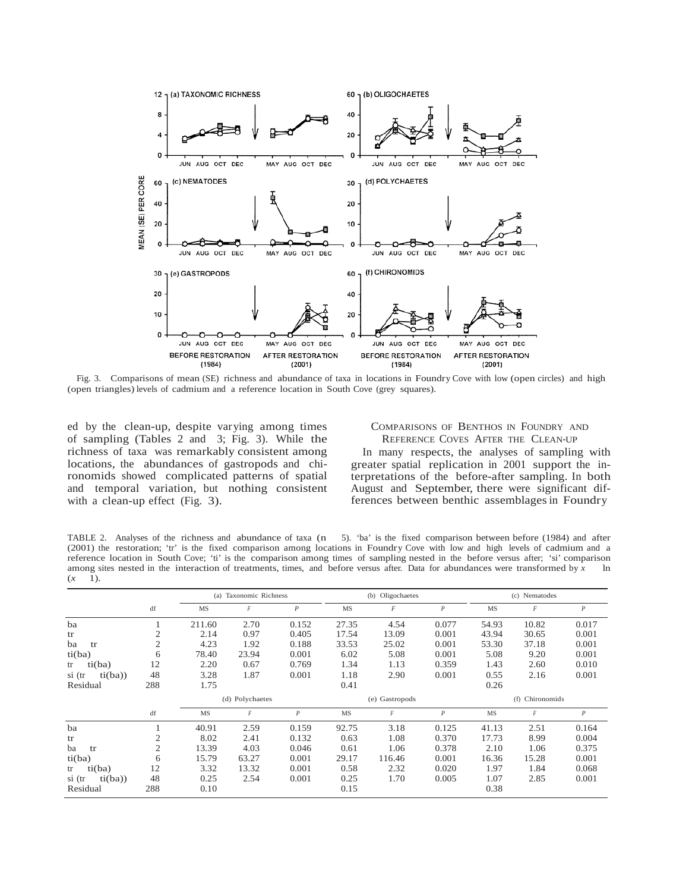

Fig. 3. Comparisons of mean (SE) richness and abundance of taxa in locations in Foundry Cove with low (open circles) and high (open triangles) levels of cadmium and a reference location in South Cove (grey squares).

ed by the clean-up, despite varying among times of sampling (Tables 2 and 3; Fig. 3). While the richness of taxa was remarkably consistent among locations, the abundances of gastropods and chironomids showed complicated patterns of spatial and temporal variation, but nothing consistent with a clean-up effect (Fig. 3).

# COMPARISONS OF BENTHOS IN FOUNDRY AND REFERENCE COVES AFTER THE CLEAN-UP

In many respects, the analyses of sampling with greater spatial replication in 2001 support the interpretations of the before-after sampling. In both August and September, there were significant differences between benthic assemblages in Foundry

TABLE 2. Analyses of the richness and abundance of taxa (n 5). 'ba' is the fixed comparison between before (1984) and after (2001) the restoration; 'tr' is the fixed comparison among locations in Foundry Cove with low and high levels of cadmium and a reference location in South Cove; 'ti' is the comparison among times of sampling nested in the before versus after; 'si' comparison among sites nested in the interaction of treatments, times, and before versus after. Data for abundances were transformed by  $\bar{x}$  ln  $(x \ 1).$ 

|                   |                | (a)             | Taxonomic Richness |                  |           | (b) Oligochaetes |                  |                 | (c) Nematodes |                  |  |
|-------------------|----------------|-----------------|--------------------|------------------|-----------|------------------|------------------|-----------------|---------------|------------------|--|
|                   | df             | <b>MS</b>       | F                  | $\boldsymbol{P}$ | <b>MS</b> | F                | $\overline{P}$   | <b>MS</b>       | F             | $\boldsymbol{P}$ |  |
| ba                |                | 211.60          | 2.70               | 0.152            | 27.35     | 4.54             | 0.077            | 54.93           | 10.82         | 0.017            |  |
| tr                | $\overline{2}$ | 2.14            | 0.97               | 0.405            | 17.54     | 13.09            | 0.001            | 43.94           | 30.65         | 0.001            |  |
| ba<br>tr          | $\overline{2}$ | 4.23            | 1.92               | 0.188            | 33.53     | 25.02            | 0.001            | 53.30           | 37.18         | 0.001            |  |
| ti(ba)            | 6              | 78.40           | 23.94              | 0.001            | 6.02      | 5.08             | 0.001            | 5.08            | 9.20          | 0.001            |  |
| ti(ba)<br>tr      | 12             | 2.20            | 0.67               | 0.769            | 1.34      | 1.13             | 0.359            | 1.43            | 2.60          | 0.010            |  |
| ti(ba))<br>si (tr | 48             | 3.28            | 1.87               | 0.001            | 1.18      | 2.90             | 0.001            | 0.55            | 2.16          | 0.001            |  |
| Residual          | 288            | 1.75            |                    |                  | 0.41      |                  |                  | 0.26            |               |                  |  |
|                   |                | (d) Polychaetes |                    |                  |           | (e) Gastropods   |                  | (f) Chironomids |               |                  |  |
|                   | df             | <b>MS</b>       | F                  | $\boldsymbol{P}$ | MS        |                  | $\boldsymbol{P}$ | MS              |               | P                |  |
| ba                |                | 40.91           | 2.59               | 0.159            | 92.75     | 3.18             | 0.125            | 41.13           | 2.51          | 0.164            |  |
| tr                | $\overline{c}$ | 8.02            | 2.41               | 0.132            | 0.63      | 1.08             | 0.370            | 17.73           | 8.99          | 0.004            |  |
| ba<br>tr          | $\mathfrak{2}$ | 13.39           | 4.03               | 0.046            | 0.61      | 1.06             | 0.378            | 2.10            | 1.06          | 0.375            |  |
| ti(ba)            | 6              | 15.79           | 63.27              | 0.001            | 29.17     | 116.46           | 0.001            | 16.36           | 15.28         | 0.001            |  |
| ti(ba)<br>tr      | 12             | 3.32            | 13.32              | 0.001            | 0.58      | 2.32             | 0.020            | 1.97            | 1.84          | 0.068            |  |
| ti(ba))<br>si (tr | 48             | 0.25            | 2.54               | 0.001            | 0.25      | 1.70             | 0.005            | 1.07            | 2.85          | 0.001            |  |
| Residual          | 288            | 0.10            |                    |                  | 0.15      |                  |                  | 0.38            |               |                  |  |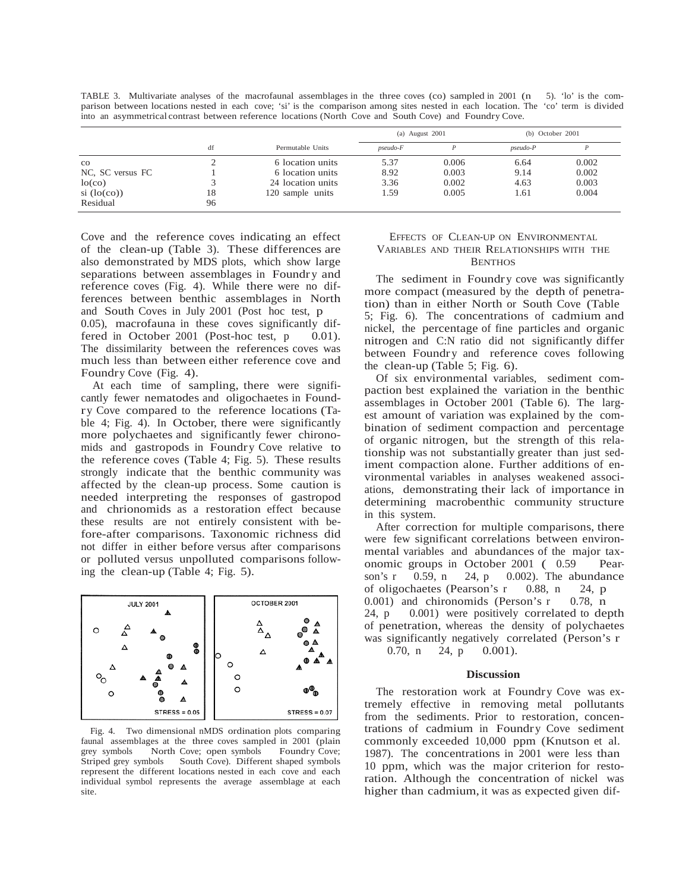TABLE 3. Multivariate analyses of the macrofaunal assemblages in the three coves (co) sampled in 2001 (n 5). 'lo' is the comparison between locations nested in each cove; 'si' is the comparison among sites nested in each location. The 'co' term is divided into an asymmetrical contrast between reference locations (North Cove and South Cove) and Foundry Cove.

|                  |    |                   | (a) August $2001$ |       | $(b)$ October 2001 |       |  |
|------------------|----|-------------------|-------------------|-------|--------------------|-------|--|
|                  | df | Permutable Units  | $pseudo-F$        |       | $pseudo-P$         | P.    |  |
| $_{\rm CO}$      |    | 6 location units  | 5.37              | 0.006 | 6.64               | 0.002 |  |
| NC, SC versus FC |    | 6 location units  | 8.92              | 0.003 | 9.14               | 0.002 |  |
| loco)            |    | 24 location units | 3.36              | 0.002 | 4.63               | 0.003 |  |
| $si$ (lo(co))    | 18 | 120 sample units  | 1.59              | 0.005 | 1.61               | 0.004 |  |
| Residual         | 96 |                   |                   |       |                    |       |  |

Cove and the reference coves indicating an effect of the clean-up (Table 3). These differences are also demonstrated by MDS plots, which show large separations between assemblages in Foundry and reference coves (Fig. 4). While there were no differences between benthic assemblages in North and South Coves in July 2001 (Post hoc test, p 0.05), macrofauna in these coves significantly differed in October 2001 (Post-hoc test,  $p = 0.01$ ). The dissimilarity between the references coves was much less than between either reference cove and Foundry Cove (Fig. 4).

At each time of sampling, there were significantly fewer nematodes and oligochaetes in Foundry Cove compared to the reference locations (Table 4; Fig. 4). In October, there were significantly more polychaetes and significantly fewer chironomids and gastropods in Foundry Cove relative to the reference coves (Table 4; Fig. 5). These results strongly indicate that the benthic community was affected by the clean-up process. Some caution is needed interpreting the responses of gastropod and chrionomids as a restoration effect because these results are not entirely consistent with before-after comparisons. Taxonomic richness did not differ in either before versus after comparisons or polluted versus unpolluted comparisons following the clean-up (Table 4; Fig. 5).



Fig. 4. Two dimensional nMDS ordination plots comparing faunal assemblages at the three coves sampled in 2001 (plain grey symbols North Cove; open symbols Foundry Cove; North Cove; open symbols Foundry Cove; Striped grey symbols South Cove). Different shaped symbols represent the different locations nested in each cove and each individual symbol represents the average assemblage at each site.

# EFFECTS OF CLEAN-UP ON ENVIRONMENTAL VARIABLES AND THEIR RELATIONSHIPS WITH THE **BENTHOS**

The sediment in Foundry cove was significantly more compact (measured by the depth of penetration) than in either North or South Cove (Table 5; Fig. 6). The concentrations of cadmium and nickel, the percentage of fine particles and organic nitrogen and C:N ratio did not significantly differ between Foundry and reference coves following the clean-up (Table 5; Fig. 6).

Of six environmental variables, sediment compaction best explained the variation in the benthic assemblages in October 2001 (Table 6). The largest amount of variation was explained by the combination of sediment compaction and percentage of organic nitrogen, but the strength of this relationship was not substantially greater than just sediment compaction alone. Further additions of environmental variables in analyses weakened associations, demonstrating their lack of importance in determining macrobenthic community structure in this system.

After correction for multiple comparisons, there were few significant correlations between environmental variables and abundances of the major taxonomic groups in October 2001 ( $0.59$  Pearson's r  $0.59$ , n  $24$ , p  $0.002$ ). The abundance son's r 0.59, n 24, p 0.002). The abundance<br>of oligochaetes (Pearson's r 0.88, n 24, p of oligochaetes (Pearson's  $r = 0.88$ , n 24, p  $0.001$ ) and chironomids (Person's  $r = 0.78$ , n  $0.001$ ) and chironomids (Person's r 24, p 0.001) were positively correlated to depth of penetration, whereas the density of polychaetes was significantly negatively correlated (Person's r 0.70, n 24, p 0.001).

## **Discussion**

The restoration work at Foundry Cove was extremely effective in removing metal pollutants from the sediments. Prior to restoration, concentrations of cadmium in Foundry Cove sediment commonly exceeded 10,000 ppm (Knutson et al. 1987). The concentrations in 2001 were less than 10 ppm, which was the major criterion for restoration. Although the concentration of nickel was higher than cadmium, it was as expected given dif-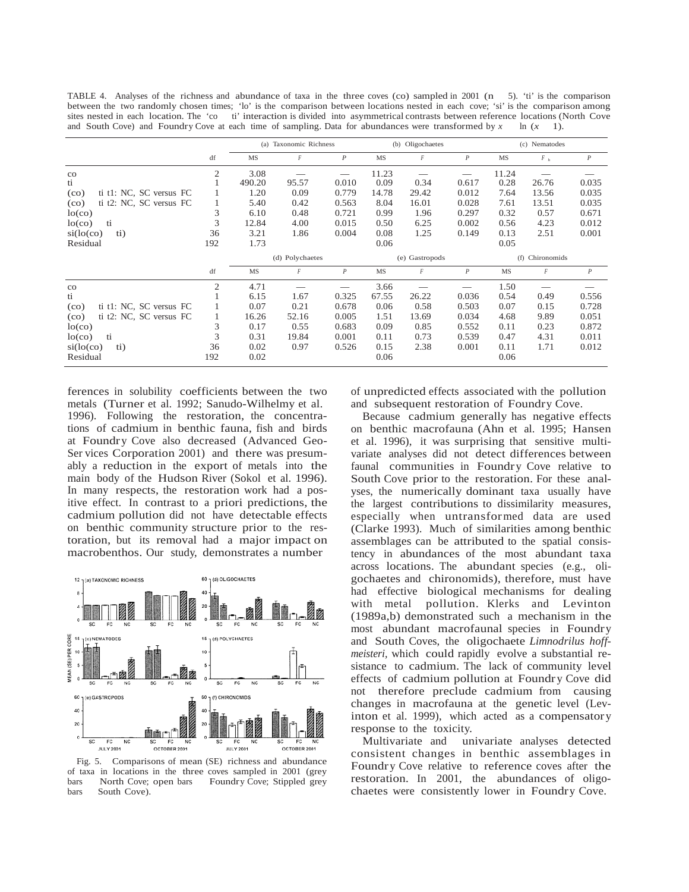TABLE 4. Analyses of the richness and abundance of taxa in the three coves (co) sampled in 2001 (n 5). 'ti' is the comparison between the two randomly chosen times; 'lo' is the comparison between locations nested in each cove; 'si' is the comparison among sites nested in each location. The 'co ti' interaction is divided into asymmetrical contrasts between reference locations (North Cove and South Cove) and Foundry Cove at each time of sampling. Data for abundances were transformed by *x* ln (*x* 1).

|                                              |                | Taxonomic Richness<br>(a) |       |                  | (b)       | Oligochaetes |                  | (c) Nematodes |                  |                  |
|----------------------------------------------|----------------|---------------------------|-------|------------------|-----------|--------------|------------------|---------------|------------------|------------------|
|                                              | df             | <b>MS</b>                 | F     | $\boldsymbol{P}$ | <b>MS</b> | F            | $\boldsymbol{P}$ | <b>MS</b>     | $F_h$            | $\boldsymbol{P}$ |
| $_{\rm CO}$                                  | $\mathfrak{2}$ | 3.08                      |       |                  | 11.23     |              |                  | 11.24         |                  |                  |
| ti                                           |                | 490.20                    | 95.57 | 0.010            | 0.09      | 0.34         | 0.617            | 0.28          | 26.76            | 0.035            |
| ti t1: NC, SC versus FC<br>(co)              |                | 1.20                      | 0.09  | 0.779            | 14.78     | 29.42        | 0.012            | 7.64          | 13.56            | 0.035            |
| ti t2: NC, SC versus FC<br>(c <sub>O</sub> ) |                | 5.40                      | 0.42  | 0.563            | 8.04      | 16.01        | 0.028            | 7.61          | 13.51            | 0.035            |
| $\log$ (co)                                  | 3              | 6.10                      | 0.48  | 0.721            | 0.99      | 1.96         | 0.297            | 0.32          | 0.57             | 0.671            |
| ti<br>$\log$ (co)                            | 3              | 12.84                     | 4.00  | 0.015            | 0.50      | 6.25         | 0.002            | 0.56          | 4.23             | 0.012            |
| si(lo(co)<br>ti)                             | 36             | 3.21                      | 1.86  | 0.004            | 0.08      | 1.25         | 0.149            | 0.13          | 2.51             | 0.001            |
| Residual                                     | 192            | 1.73                      |       |                  | 0.06      |              |                  | 0.05          |                  |                  |
|                                              |                | (d) Polychaetes           |       | (e) Gastropods   |           |              | (f) Chironomids  |               |                  |                  |
|                                              | df             | MS                        | F     | $\cal P$         | MS        | F            | $\boldsymbol{P}$ | <b>MS</b>     | $\boldsymbol{F}$ | $\boldsymbol{P}$ |
| $_{\rm co}$                                  | $\overline{c}$ | 4.71                      |       |                  | 3.66      |              |                  | 1.50          |                  |                  |
| ti                                           |                | 6.15                      | 1.67  | 0.325            | 67.55     | 26.22        | 0.036            | 0.54          | 0.49             | 0.556            |
| ti t1: NC, SC versus FC<br>(c <sub>O</sub> ) |                | 0.07                      | 0.21  | 0.678            | 0.06      | 0.58         | 0.503            | 0.07          | 0.15             | 0.728            |
| ti t2: NC, SC versus FC<br>(c <sub>O</sub> ) |                | 16.26                     | 52.16 | 0.005            | 1.51      | 13.69        | 0.034            | 4.68          | 9.89             | 0.051            |
| lo(co)                                       | 3              | 0.17                      | 0.55  | 0.683            | 0.09      | 0.85         | 0.552            | 0.11          | 0.23             | 0.872            |
| ti<br>$\log$ (co)                            | 3              | 0.31                      | 19.84 | 0.001            | 0.11      | 0.73         | 0.539            | 0.47          | 4.31             | 0.011            |
| si(lo(co)<br>ti)                             | 36             | 0.02                      | 0.97  | 0.526            | 0.15      | 2.38         | 0.001            | 0.11          | 1.71             | 0.012            |
| Residual                                     | 192            | 0.02                      |       |                  | 0.06      |              |                  | 0.06          |                  |                  |

ferences in solubility coefficients between the two metals (Turner et al. 1992; Sanudo-Wilhelmy et al. 1996). Following the restoration, the concentrations of cadmium in benthic fauna, fish and birds at Foundry Cove also decreased (Advanced Geo-Ser vices Corporation 2001) and there was presumably a reduction in the export of metals into the main body of the Hudson River (Sokol et al. 1996). In many respects, the restoration work had a positive effect. In contrast to a priori predictions, the cadmium pollution did not have detectable effects on benthic community structure prior to the restoration, but its removal had a major impact on macrobenthos. Our study, demonstrates a number



Fig. 5. Comparisons of mean (SE) richness and abundance of taxa in locations in the three coves sampled in 2001 (grey bars North Cove; open bars Foundry Cove; Stippled grey bars South Cove).

of unpredicted effects associated with the pollution and subsequent restoration of Foundry Cove.

Because cadmium generally has negative effects on benthic macrofauna (Ahn et al. 1995; Hansen et al. 1996), it was surprising that sensitive multivariate analyses did not detect differences between faunal communities in Foundry Cove relative to South Cove prior to the restoration. For these analyses, the numerically dominant taxa usually have the largest contributions to dissimilarity measures, especially when untransformed data are used (Clarke 1993). Much of similarities among benthic assemblages can be attributed to the spatial consistency in abundances of the most abundant taxa across locations. The abundant species (e.g., oligochaetes and chironomids), therefore, must have had effective biological mechanisms for dealing with metal pollution. Klerks and Levinton (1989a,b) demonstrated such a mechanism in the most abundant macrofaunal species in Foundry and South Coves, the oligochaete *Limnodrilus hoffmeisteri,* which could rapidly evolve a substantial resistance to cadmium. The lack of community level effects of cadmium pollution at Foundry Cove did not therefore preclude cadmium from causing changes in macrofauna at the genetic level (Levinton et al. 1999), which acted as a compensatory response to the toxicity.

Multivariate and univariate analyses detected consistent changes in benthic assemblages in Foundry Cove relative to reference coves after the restoration. In 2001, the abundances of oligochaetes were consistently lower in Foundry Cove.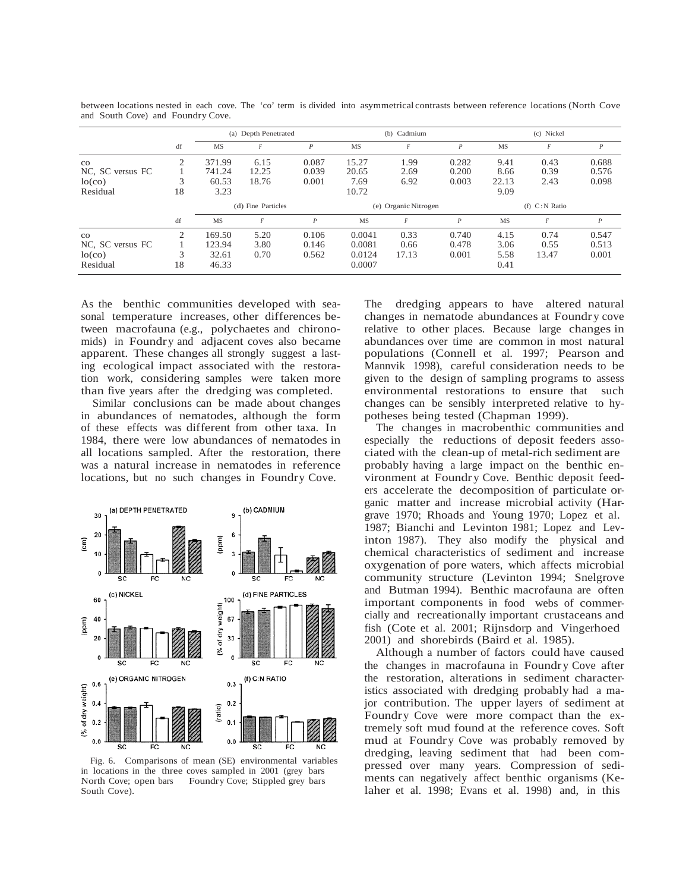|                  |                |                    | (a) Depth Penetrated |                  |                      | Cadmium<br>(b) |                  | (c) Nickel |          |                  |
|------------------|----------------|--------------------|----------------------|------------------|----------------------|----------------|------------------|------------|----------|------------------|
|                  | df             | <b>MS</b>          |                      | $\boldsymbol{P}$ | <b>MS</b>            |                | P                | <b>MS</b>  |          | $\boldsymbol{P}$ |
| $_{\rm CO}$      | $\overline{c}$ | 371.99             | 6.15                 | 0.087            | 15.27                | l.99           | 0.282            | 9.41       | 0.43     | 0.688            |
| NC, SC versus FC |                | 741.24             | 12.25                | 0.039            | 20.65                | 2.69           | 0.200            | 8.66       | 0.39     | 0.576            |
| $\log$ (co)      | 3              | 60.53              | 18.76                | 0.001            | 7.69                 | 6.92           | 0.003            | 22.13      | 2.43     | 0.098            |
| Residual         | 18             | 3.23               |                      |                  | 10.72                |                |                  | 9.09       |          |                  |
|                  |                | (d) Fine Particles |                      |                  | (e) Organic Nitrogen |                | (f) $C: N$ Ratio |            |          |                  |
|                  | df             | <b>MS</b>          |                      | $\boldsymbol{P}$ | <b>MS</b>            |                | $\boldsymbol{P}$ | <b>MS</b>  | $\Gamma$ | $\boldsymbol{P}$ |
| $_{\rm CO}$      | ◠              | 169.50             | 5.20                 | 0.106            | 0.0041               | 0.33           | 0.740            | 4.15       | 0.74     | 0.547            |
| NC, SC versus FC |                | 123.94             | 3.80                 | 0.146            | 0.0081               | 0.66           | 0.478            | 3.06       | 0.55     | 0.513            |
| $\log$ (co)      | 3              | 32.61              | 0.70                 | 0.562            | 0.0124               | 17.13          | 0.001            | 5.58       | 13.47    | 0.001            |
| Residual         | 18             | 46.33              |                      |                  | 0.0007               |                |                  | 0.41       |          |                  |

between locations nested in each cove. The 'co' term is divided into asymmetrical contrasts between reference locations (North Cove and South Cove) and Foundry Cove.

As the benthic communities developed with seasonal temperature increases, other differences between macrofauna (e.g., polychaetes and chironomids) in Foundry and adjacent coves also became apparent. These changes all strongly suggest a lasting ecological impact associated with the restoration work, considering samples were taken more than five years after the dredging was completed.

Similar conclusions can be made about changes in abundances of nematodes, although the form of these effects was different from other taxa. In 1984, there were low abundances of nematodes in all locations sampled. After the restoration, there was a natural increase in nematodes in reference locations, but no such changes in Foundry Cove.



Fig. 6. Comparisons of mean (SE) environmental variables in locations in the three coves sampled in 2001 (grey bars North Cove; open bars Foundry Cove; Stippled grey bars South Cove).

The dredging appears to have altered natural changes in nematode abundances at Foundr y cove relative to other places. Because large changes in abundances over time are common in most natural populations (Connell et al. 1997; Pearson and Mannvik 1998), careful consideration needs to be given to the design of sampling programs to assess environmental restorations to ensure that such changes can be sensibly interpreted relative to hypotheses being tested (Chapman 1999).

The changes in macrobenthic communities and especially the reductions of deposit feeders associated with the clean-up of metal-rich sediment are probably having a large impact on the benthic environment at Foundry Cove. Benthic deposit feeders accelerate the decomposition of particulate organic matter and increase microbial activity (Hargrave 1970; Rhoads and Young 1970; Lopez et al. 1987; Bianchi and Levinton 1981; Lopez and Levinton 1987). They also modify the physical and chemical characteristics of sediment and increase oxygenation of pore waters, which affects microbial community structure (Levinton 1994; Snelgrove and Butman 1994). Benthic macrofauna are often important components in food webs of commercially and recreationally important crustaceans and fish (Cote et al. 2001; Rijnsdorp and Vingerhoed 2001) and shorebirds (Baird et al. 1985).

Although a number of factors could have caused the changes in macrofauna in Foundr y Cove after the restoration, alterations in sediment characteristics associated with dredging probably had a major contribution. The upper layers of sediment at Foundry Cove were more compact than the extremely soft mud found at the reference coves. Soft mud at Foundry Cove was probably removed by dredging, leaving sediment that had been compressed over many years. Compression of sediments can negatively affect benthic organisms (Kelaher et al. 1998; Evans et al. 1998) and, in this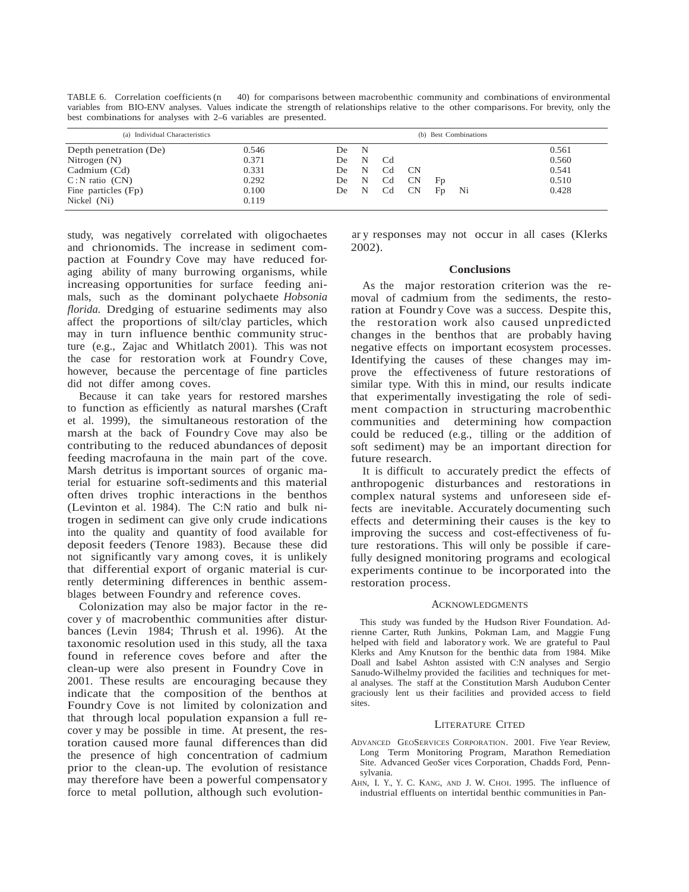TABLE 6. Correlation coefficients (n 40) for comparisons between macrobenthic community and combinations of environmental variables from BIO-ENV analyses. Values indicate the strength of relationships relative to the other comparisons. For brevity, only the best combinations for analyses with 2–6 variables are presented.

| (a) Individual Characteristics |       |     |   |    |           |                |    |       |
|--------------------------------|-------|-----|---|----|-----------|----------------|----|-------|
| Depth penetration (De)         | 0.546 | De. | N |    |           |                |    | 0.561 |
| Nitrogen $(N)$                 | 0.371 | De  | N | Cd |           |                |    | 0.560 |
| Cadmium (Cd)                   | 0.331 | De. | N | Cd | <b>CN</b> |                |    | 0.541 |
| $C: N$ ratio $(CN)$            | 0.292 | De  | N | Cd | <b>CN</b> | F <sub>p</sub> |    | 0.510 |
| Fine particles (Fp)            | 0.100 | De  | N | Cd | <b>CN</b> | F'n            | Ni | 0.428 |
| Nickel (Ni)                    | 0.119 |     |   |    |           |                |    |       |

study, was negatively correlated with oligochaetes and chrionomids. The increase in sediment compaction at Foundry Cove may have reduced foraging ability of many burrowing organisms, while increasing opportunities for surface feeding animals, such as the dominant polychaete *Hobsonia florida.* Dredging of estuarine sediments may also affect the proportions of silt/clay particles, which may in turn influence benthic community structure (e.g., Zajac and Whitlatch 2001). This was not the case for restoration work at Foundry Cove, however, because the percentage of fine particles did not differ among coves.

Because it can take years for restored marshes to function as efficiently as natural marshes (Craft et al. 1999), the simultaneous restoration of the marsh at the back of Foundry Cove may also be contributing to the reduced abundances of deposit feeding macrofauna in the main part of the cove. Marsh detritus is important sources of organic material for estuarine soft-sediments and this material often drives trophic interactions in the benthos (Levinton et al. 1984). The C:N ratio and bulk nitrogen in sediment can give only crude indications into the quality and quantity of food available for deposit feeders (Tenore 1983). Because these did not significantly vary among coves, it is unlikely that differential export of organic material is currently determining differences in benthic assemblages between Foundry and reference coves.

Colonization may also be major factor in the recover y of macrobenthic communities after disturbances (Levin 1984; Thrush et al. 1996). At the taxonomic resolution used in this study, all the taxa found in reference coves before and after the clean-up were also present in Foundry Cove in 2001. These results are encouraging because they indicate that the composition of the benthos at Foundry Cove is not limited by colonization and that through local population expansion a full recover y may be possible in time. At present, the restoration caused more faunal differences than did the presence of high concentration of cadmium prior to the clean-up. The evolution of resistance may therefore have been a powerful compensatory force to metal pollution, although such evolutionar y responses may not occur in all cases (Klerks 2002).

## **Conclusions**

As the major restoration criterion was the removal of cadmium from the sediments, the restoration at Foundry Cove was a success. Despite this, the restoration work also caused unpredicted changes in the benthos that are probably having negative effects on important ecosystem processes. Identifying the causes of these changes may improve the effectiveness of future restorations of similar type. With this in mind, our results indicate that experimentally investigating the role of sediment compaction in structuring macrobenthic communities and determining how compaction could be reduced (e.g., tilling or the addition of soft sediment) may be an important direction for future research.

It is difficult to accurately predict the effects of anthropogenic disturbances and restorations in complex natural systems and unforeseen side effects are inevitable. Accurately documenting such effects and determining their causes is the key to improving the success and cost-effectiveness of future restorations. This will only be possible if carefully designed monitoring programs and ecological experiments continue to be incorporated into the restoration process.

### **ACKNOWLEDGMENTS**

This study was funded by the Hudson River Foundation. Adrienne Carter, Ruth Junkins, Pokman Lam, and Maggie Fung helped with field and laboratory work. We are grateful to Paul Klerks and Amy Knutson for the benthic data from 1984. Mike Doall and Isabel Ashton assisted with C:N analyses and Sergio Sanudo-Wilhelmy provided the facilities and techniques for metal analyses. The staff at the Constitution Marsh Audubon Center graciously lent us their facilities and provided access to field sites.

#### LITERATURE CITED

- ADVANCED GEOSERVICES CORPORATION. 2001. Five Year Review, Long Term Monitoring Program, Marathon Remediation Site. Advanced GeoSer vices Corporation, Chadds Ford, Pennsylvania.
- AHN, I. Y., Y. C. KANG, AND J. W. CHOI. 1995. The influence of industrial effluents on intertidal benthic communities in Pan-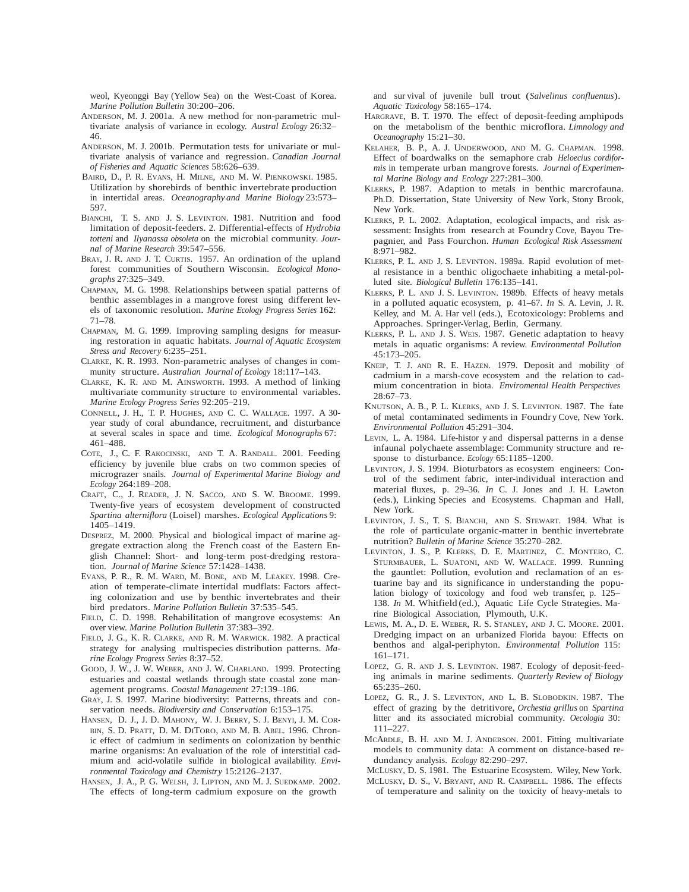weol, Kyeonggi Bay (Yellow Sea) on the West-Coast of Korea. *Marine Pollution Bulletin* 30:200–206.

- ANDERSON, M. J. 2001a. A new method for non-parametric multivariate analysis of variance in ecology. *Austral Ecology* 26:32– 46.
- ANDERSON, M. J. 2001b. Permutation tests for univariate or multivariate analysis of variance and regression. *Canadian Journal of Fisheries and Aquatic Sciences* 58:626–639.
- BAIRD, D., P. R. EVANS, H. MILNE, AND M. W. PIENKOWSKI. 1985. Utilization by shorebirds of benthic invertebrate production in intertidal areas. *Oceanography and Marine Biology* 23:573– 597.
- BIANCHI, T. S. AND J. S. LEVINTON. 1981. Nutrition and food limitation of deposit-feeders. 2. Differential-effects of *Hydrobia totteni* and *Ilyanassa obsoleta* on the microbial community. *Journal of Marine Research* 39:547–556.
- BRAY, J. R. AND J. T. CURTIS. 1957. An ordination of the upland forest communities of Southern Wisconsin. *Ecological Monographs* 27:325–349.
- CHAPMAN, M. G. 1998. Relationships between spatial patterns of benthic assemblages in a mangrove forest using different levels of taxonomic resolution. *Marine Ecology Progress Series* 162: 71–78.
- CHAPMAN, M. G. 1999. Improving sampling designs for measuring restoration in aquatic habitats. *Journal of Aquatic Ecosystem Stress and Recovery* 6:235–251.
- CLARKE, K. R. 1993. Non-parametric analyses of changes in community structure. *Australian Journal of Ecology* 18:117–143.
- CLARKE, K. R. AND M. AINSWORTH. 1993. A method of linking multivariate community structure to environmental variables. *Marine Ecology Progress Series* 92:205–219.
- CONNELL, J. H., T. P. HUGHES, AND C. C. WALLACE. 1997. A 30 year study of coral abundance, recruitment, and disturbance at several scales in space and time. *Ecological Monographs* 67: 461–488.
- COTE, J., C. F. RAKOCINSKI, AND T. A. RANDALL. 2001. Feeding efficiency by juvenile blue crabs on two common species of micrograzer snails. *Journal of Experimental Marine Biology and Ecology* 264:189–208.
- CRAFT, C., J. READER, J. N. SACCO, AND S. W. BROOME. 1999. Twenty-five years of ecosystem development of constructed *Spartina alterniflora* (Loisel) marshes. *Ecological Applications* 9: 1405–1419.
- DESPREZ, M. 2000. Physical and biological impact of marine aggregate extraction along the French coast of the Eastern English Channel: Short- and long-term post-dredging restoration. *Journal of Marine Science* 57:1428–1438.
- EVANS, P. R., R. M. WARD, M. BONE, AND M. LEAKEY. 1998. Creation of temperate-climate intertidal mudflats: Factors affecting colonization and use by benthic invertebrates and their bird predators. *Marine Pollution Bulletin* 37:535–545.
- FIELD, C. D. 1998. Rehabilitation of mangrove ecosystems: An over view. *Marine Pollution Bulletin* 37:383–392.
- FIELD, J. G., K. R. CLARKE, AND R. M. WARWICK. 1982. A practical strategy for analysing multispecies distribution patterns. *Marine Ecology Progress Series* 8:37–52.
- GOOD, J. W., J. W. WEBER, AND J. W. CHARLAND. 1999. Protecting estuaries and coastal wetlands through state coastal zone management programs. *Coastal Management* 27:139–186.
- GRAY, J. S. 1997. Marine biodiversity: Patterns, threats and conser vation needs. *Biodiversity and Conservation* 6:153–175.
- HANSEN, D. J., J. D. MAHONY, W. J. BERRY, S. J. BENYI, J. M. COR-BIN, S. D. PRATT, D. M. DITORO, AND M. B. ABEL. 1996. Chronic effect of cadmium in sediments on colonization by benthic marine organisms: An evaluation of the role of interstitial cadmium and acid-volatile sulfide in biological availability. *Environmental Toxicology and Chemistry* 15:2126–2137.
- HANSEN, J. A., P. G. WELSH, J. LIPTON, AND M. J. SUEDKAMP. 2002. The effects of long-term cadmium exposure on the growth

and sur vival of juvenile bull trout (*Salvelinus confluentus*). *Aquatic Toxicology* 58:165–174.

- HARGRAVE, B. T. 1970. The effect of deposit-feeding amphipods on the metabolism of the benthic microflora. *Limnology and Oceanography* 15:21–30.
- KELAHER, B. P., A. J. UNDERWOOD, AND M. G. CHAPMAN. 1998. Effect of boardwalks on the semaphore crab *Heloecius cordiformis* in temperate urban mangrove forests. *Journal of Experimental Marine Biology and Ecology* 227:281–300.
- KLERKS, P. 1987. Adaption to metals in benthic marcrofauna. Ph.D. Dissertation, State University of New York, Stony Brook, New York.
- KLERKS, P. L. 2002. Adaptation, ecological impacts, and risk assessment: Insights from research at Foundry Cove, Bayou Trepagnier, and Pass Fourchon. *Human Ecological Risk Assessment* 8:971–982.
- KLERKS, P. L. AND J. S. LEVINTON. 1989a. Rapid evolution of metal resistance in a benthic oligochaete inhabiting a metal-polluted site. *Biological Bulletin* 176:135–141.
- KLERKS, P. L. AND J. S. LEVINTON. 1989b. Effects of heavy metals in a polluted aquatic ecosystem, p. 41–67. *In* S. A. Levin, J. R. Kelley, and M. A. Har vell (eds.), Ecotoxicology: Problems and Approaches. Springer-Verlag, Berlin, Germany.
- KLERKS, P. L. AND J. S. WEIS. 1987. Genetic adaptation to heavy metals in aquatic organisms: A review. *Environmental Pollution* 45:173–205.
- KNEIP, T. J. AND R. E. HAZEN. 1979. Deposit and mobility of cadmium in a marsh-cove ecosystem and the relation to cadmium concentration in biota. *Enviromental Health Perspectives* 28:67–73.
- KNUTSON, A. B., P. L. KLERKS, AND J. S. LEVINTON. 1987. The fate of metal contaminated sediments in Foundry Cove, New York. *Environmental Pollution* 45:291–304.
- LEVIN, L. A. 1984. Life-histor y and dispersal patterns in a dense infaunal polychaete assemblage: Community structure and response to disturbance. *Ecology* 65:1185–1200.
- LEVINTON, J. S. 1994. Bioturbators as ecosystem engineers: Control of the sediment fabric, inter-individual interaction and material fluxes, p. 29–36. *In* C. J. Jones and J. H. Lawton (eds.), Linking Species and Ecosystems. Chapman and Hall, New York.
- LEVINTON, J. S., T. S. BIANCHI, AND S. STEWART. 1984. What is the role of particulate organic-matter in benthic invertebrate nutrition? *Bulletin of Marine Science* 35:270–282.
- LEVINTON, J. S., P. KLERKS, D. E. MARTINEZ, C. MONTERO, C. STURMBAUER, L. SUATONI, AND W. WALLACE. 1999. Running the gauntlet: Pollution, evolution and reclamation of an estuarine bay and its significance in understanding the population biology of toxicology and food web transfer, p. 125– 138. *In* M. Whitfield (ed.), Aquatic Life Cycle Strategies. Marine Biological Association, Plymouth, U.K.
- LEWIS, M. A., D. E. WEBER, R. S. STANLEY, AND J. C. MOORE. 2001. Dredging impact on an urbanized Florida bayou: Effects on benthos and algal-periphyton. *Environmental Pollution* 115: 161–171.
- LOPEZ, G. R. AND J. S. LEVINTON. 1987. Ecology of deposit-feeding animals in marine sediments. *Quarterly Review of Biology* 65:235–260.
- LOPEZ, G. R., J. S. LEVINTON, AND L. B. SLOBODKIN. 1987. The effect of grazing by the detritivore, *Orchestia grillus* on *Spartina*  litter and its associated microbial community. *Oecologia* 30: 111–227.
- MCARDLE, B. H. AND M. J. ANDERSON. 2001. Fitting multivariate models to community data: A comment on distance-based redundancy analysis. *Ecology* 82:290–297.
- MCLUSKY, D. S. 1981. The Estuarine Ecosystem. Wiley, New York.
- MCLUSKY, D. S., V. BRYANT, AND R. CAMPBELL. 1986. The effects of temperature and salinity on the toxicity of heavy-metals to